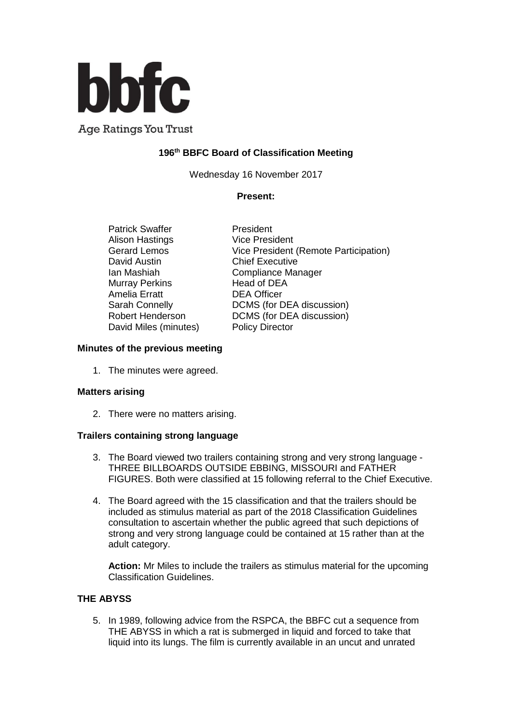

**Age Ratings You Trust** 

# **196 th BBFC Board of Classification Meeting**

Wednesday 16 November 2017

### **Present:**

Patrick Swaffer President Alison Hastings **Vice President** David Austin **Chief Executive** Murray Perkins Head of DEA Amelia Erratt DEA Officer David Miles (minutes) Policy Director

Gerard Lemos Vice President (Remote Participation) Ian Mashiah Compliance Manager Sarah Connelly DCMS (for DEA discussion) Robert Henderson DCMS (for DEA discussion)

### **Minutes of the previous meeting**

1. The minutes were agreed.

#### **Matters arising**

2. There were no matters arising.

## **Trailers containing strong language**

- 3. The Board viewed two trailers containing strong and very strong language THREE BILLBOARDS OUTSIDE EBBING, MISSOURI and FATHER FIGURES. Both were classified at 15 following referral to the Chief Executive.
- 4. The Board agreed with the 15 classification and that the trailers should be included as stimulus material as part of the 2018 Classification Guidelines consultation to ascertain whether the public agreed that such depictions of strong and very strong language could be contained at 15 rather than at the adult category.

**Action:** Mr Miles to include the trailers as stimulus material for the upcoming Classification Guidelines.

## **THE ABYSS**

5. In 1989, following advice from the RSPCA, the BBFC cut a sequence from THE ABYSS in which a rat is submerged in liquid and forced to take that liquid into its lungs. The film is currently available in an uncut and unrated